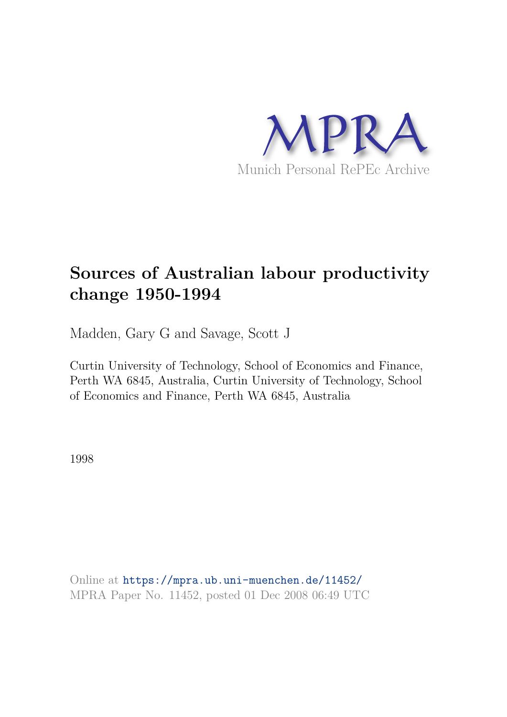

# **Sources of Australian labour productivity change 1950-1994**

Madden, Gary G and Savage, Scott J

Curtin University of Technology, School of Economics and Finance, Perth WA 6845, Australia, Curtin University of Technology, School of Economics and Finance, Perth WA 6845, Australia

1998

Online at https://mpra.ub.uni-muenchen.de/11452/ MPRA Paper No. 11452, posted 01 Dec 2008 06:49 UTC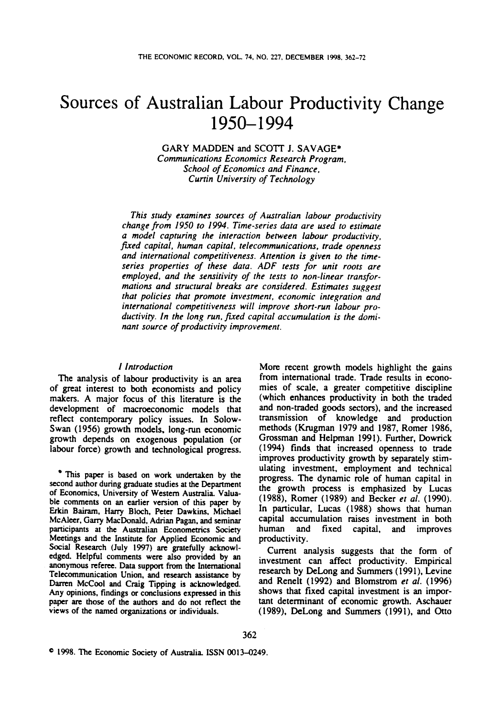# Sources of Australian Labour Productivity Change 1950-1994 DECEMBER 1998. 362-72<br>Productivity Change<br>4<br>*J. SAVAGE\* arch Program.*<br>Finance. **CHAIR 2008 OF 1 PEGROLIVITY STARTS 1950–1994**<br> **CURTIFY ANDOEN** and SCOTT J. SAVAGE\*<br> *Curtin Chool of Economics and Finance*,<br> *Curtin University of Technology*

*Communications Economics Research Program,*  **GARY**  MADDEN and **SCOTT**  *School of Economics and Finance,* 

*This study examines sources of Australian labour productivity change from 1950 to 1994. Time-series data are used to estimate a model capturing the interaction between labour productivity, fired capital, human capital, telecommunications, trade openness This study examines sources of Australian labour productivity*<br>change from 1950 to 1994. Time-series data are used to estimate<br>a model capturing the interaction between labour productivity,<br>fixed capital, human capital, t *series properties* **of** *these data. ADF tests for unit roots are employed, and the sensitivity* **of** *the tests to non-linear transfor*mations and structural breaks are considered. Estimates suggest *that policies that promote investment, economic integration* **and**  *international competitiveness will improve short-run labour pro*ductivity. In the long run, fixed capital accumulation is the domi*nant source of productivity improvement.* 

# *I Introduction*

The analysis of labour productivity is an **area**  of great interest to both economists and policy makers. **A** major focus of this literature is the development of macroeconomic models that reflect contemporary policy issues. **In** Solow-Swan **(1956)** growth models, long-run economic growth depends **on** exogenous population (or labour force) growth and technological **progress.** 

**second author during gnduate studies at the Department of Economics, University** of **Western Australia. Valuable comments on an earlier version** of **this paper by**  Wn **Bairam. Harry Bloch, Peter Dawkins, Michael McAleer, Gany MacDonald, Adrian Pagan, and seminar participants at the Australian Econometrics Society Meetings and the Institute** for **Applied Economic and Social Research (July 1997) are gratefully acknowl**edged. Helpful comments were also provided by an **anonymous referee. Data support from the International Telecommunication Union. and research assistance by Darren McCoo1 and Craig Tipping is acknowledged. Any opinions, findings or conclusions expressed in this paper arc those of the authors and do not reflect the views** of **the named organizations** or **individuals.** 

Explirement of macroeconomic models that and non-traded goods sectors), and the interested<br>ct contemporary policy issues. In Solow-<br>macrossimon of knowledge and production<br>methods (Krugman 1979 and 1987, Romer 1986,<br>with d More recent growth models highlight the gains from international trade. Trade results in economies of scale, a greater competitive discipline (which enhances productivity in both the traded and non-traded goods sectors), and the increased transmission of knowledge and production methods (Krugman **1979** and **1987,** Romer **1986,**  Grossman and Helpman **1991).** Further, Dowrick **(1994)** finds that increased openness to trade improves productivity growth by separately stimulating investment, employment and technical progress. The dynamic role of human capital in the growth process is emphasized by Lucas **(1 988),** Romer **(1989)** and Becker *et al.* **(1 990).**  In particular, Lucas **(1988)** shows that human capital accumulation **raises** investment in both human and fixed capital, and improves productivity.

Current analysis suggests that the form of investment can affect productivity. Empirical research by DeLong and Summers **(1991).** Levine and Renelt **(1992)** and Blomstrom *et al.* **(1996)**  shows that fixed capital investment is an important determinant of economic growth. Aschauer numan and fixed capital, and improves<br>productivity.<br>Current analysis suggests that the form of<br>investment can affect productivity. Empirical<br>research by DeLong and Summers (1991), Levine<br>and Renelt (1992) and Blomstrom *et* **(1989).** DeLong and Summers **(1991).** and **Otto**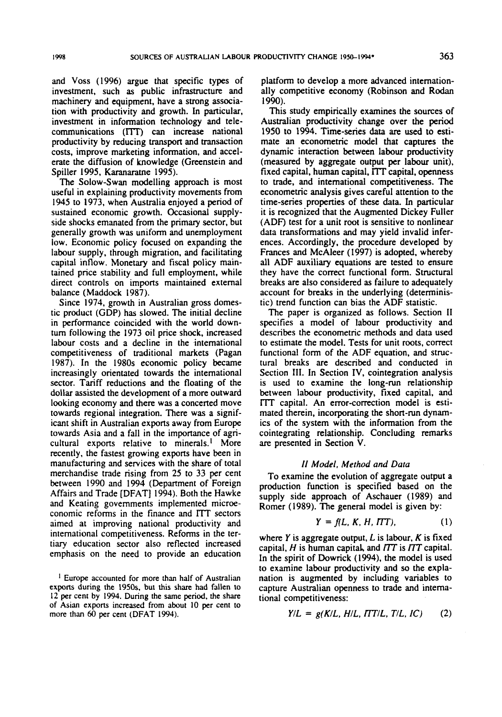and Voss (1996) argue that specific **types** of sources of AUSTRALIAN LABOUR PRODUCTIVITY CHANGE 1950–1994\* 363<br>and Voss (1996) argue that specific types of platform to develop a more advanced internation-<br>investment, such as public infrastructure and ally competitive e machinery and equipment, have a strong association with productivity and growth. In particular, investment in information technology and telecommunications (ITT) can increase national productivity by reducing transport and transaction costs, improve marketing information, and accelerate the diffusion of knowledge (Greenstein and Spiller 1995, Karanaratne 1995).

The Solow-Swan modelling approach is most useful in explaining productivity movements from 1945 to 1973, when Australia enjoyed a period of sustained economic growth. Occasional supplyside shocks emanated from the primary sector, but generally growth was uniform and unemployment low. Economic policy focused **on** expanding the labour supply, through migration, and facilitating capital inflow. Monetary and fiscal policy maintained price stability and full employment, while direct controls on imports maintained external balance (Maddock 1987).

Since 1974. growth in Australian gross domestic product (GDP) has slowed. The initial decline in performance coincided with the world downturn following the 1973 oil price shock, increased labour costs and a decline in the international competitiveness of traditional markets (Pagan 1987). In the 1980s economic policy became increasingly orientated towards the international sector. Tariff reductions and the floating of the dollar assisted the development of a more outward looking economy and there was a concerted move towards regional integration. There was a significant shift in Australian exports away from Europe towards Asia and **a** fall in the importance of agricultural exports relative to minerals.' More recently, the fastest growing exports have been in manufacturing and services with the share of total merchandise trade rising from **25** to 33 per cent between 1990 and 1994 (Department of Foreign Affairs and Trade [DFAT] 1994). Both the Hawke and Keating governments implemented microeconomic reforms in the finance and ITT sectors in the terms in the experimental competitive reforms in the finance and ITT sectors aimed at improving national productivity and  $Y = f(L, K, H, ITT)$ . (1) international competitive aimed at improving national productivity and international competitiveness. Reforms in the tertiary education sector also reflected increased emphasis on the need to provide **an** education

exports during the 1950s, but this share had fallen to **12 per cent by 1994. During the same period, the share of Asian exports increased from about 10 per cent** to platform to develop a more advanced internationally competitive economy (Robinson and **Rodan**  1990).

This study empirically examines the sources of Australian productivity change over the period 1950 to 1994. Time-series **data are** used to estimate an econometric model that captures the dynamic interaction between labour productivity (measured by aggregate output per labour unit), fixed capital, human capital, ITT capital, openness to trade, and international competitiveness. The econometric analysis gives careful attention to the time-series properties of these data. In particular it is recognized that the Augmented Dickey Fuller (ADF) test for a unit root is sensitive to nonlinear data transformations and may yield invalid inferences. Accordingly, the procedure developed by Frances and McAleer (1997) is adopted, whereby all ADF auxiliary equations are tested to ensure they have the correct functional form. Structural breaks **arc** also considered **as** failure to adequately account for breaks in the underlying (deterministic) trend function can bias the ADF statistic.

The paper is organized **as** follows. Section **I1**  specifies a model of labour productivity and describes the econometric methods and data used to estimate the model. Tests for unit roots. correct functional form of the ADF equation, and structural breaks are described and conducted in Section **111.** In Section IV, cointegration analysis is used to examine the long-run relationship between labour productivity, fixed capital, and I'lT capital. An error-correction model is estimated therein, incorporating the short-run dynamics of the system with the information from the cointegrating relationship. Concluding remarks **are** presented in Section *II* **zyxwvutsrqponmlkjihgfedcbaZYXWVUTSRQPONMLKJIHGFEDCBA Model,**  V. *zyxwvutsrqponmlkjihgfedcbaZYXWVUTSRQPONMLKJIHGFEDCBA Data* 

# **II Model**, Method and Data

To examine the evolution of aggregate output a production function is specified based on the supply side approach of Aschauer (1989) and Romer (1989). The general model is given by: To examine the evolution of aggregate output a<br>production function is specified based on the<br>supply side approach of Aschauer (1989) and<br>Romer (1989). The general model is given by:<br> $Y = f(L, K, H, ITT)$ , (1)<br>where Y is aggregat

$$
Y = f(L, K, H, ITT), \tag{1}
$$

III II SECOS THE MANUE CHOINS III the Hinalic and **III** SECOSE THE MANUE of the termational competitiveness. Reforms in the termational  $\mathbf{y} = f(L, K, H, ITT)$ , (1) where  $\mathbf{Y}$  is aggregate output,  $L$  is labour,  $K$  i **If the spirit of Dowrick (1994), the model is used**<br>
<sup>1</sup> Europe accounted for more than half of Australian<br>
<sup>1</sup> Europe accounted for more than half of Australian<br> **Exports** during the 1950s, but this share had fallen to<br> where  $Y$  is aggregate output,  $L$  is labour,  $K$  is fixed capital,  $H$  is human capital, and  $TT$  is  $TT$  capital. In the spirit of Dowrick (1994), the model is used to examine labour productivity and so the explanation is augmented by including variables to capture Australian openness **to** trade and international competitiveness:

$$
Y/L = g(K/L, H/L, T T/L, T/L, IC)
$$
 (2)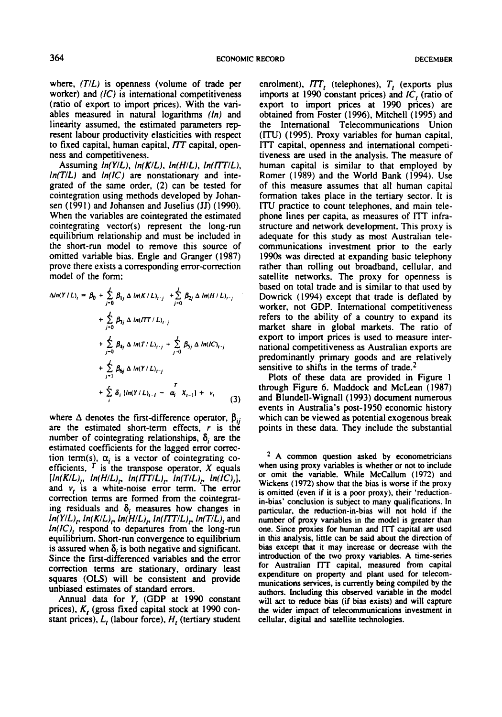ECONOMIC RECORD<br>where, *(T/L)* is openness (volume of trade per enrolment), *ITT*<sub>*t*</sub> (telephones), *T*<sub>*t*</sub> (exports plus<br>worker) and *(IC)* is international competitiveness imports at 1990 constant prices) and *IC*<sub>*t*</sub> where,  $(T/L)$  is openness (volume of trade per worker) and  $(IC)$  is international competitiveness 364 ECONOMIC RECORD DECEMBER<br>where,  $(T/L)$  is openness (volume of trade per enrolment),  $TTT_t$  (telephones),  $T_t$  (exports plus<br>worker) and  $(IC)$  is international competitiveness imports at 1990 constant prices) and  $IC_t$  (r (ratio of export to import prices). With the variables measured in natural logarithms *(In)* and linearity assumed, the estimated parameters rep resent labour productivity elasticities with respect ness and competitiveness.

Assuming *In(YIL), In(K1L). In(HIL), In(ll7'lL), In(T/L)* and *In(IC)* are nonstationary and intecointegration using methods developed by Johan-When the variables are cointegrated the estimated cointegrating vector(s) represent the long.-run equilibrium relationship and must be included **in**  the short-run model to remove this source of omitted variable bias. Engle and Granger **(1987)**  prove there exists a corresponding error-correction model of the form:

$$
\Delta ln(Y/L)_i = \beta_0 + \sum_{j=0}^{L} \beta_{1j} \Delta ln(K/L)_{i-j} + \sum_{j=0}^{L} \beta_{2j} \Delta ln(H/L)_{i-j} \n+ \sum_{j=0}^{L} \beta_{3j} \Delta ln(T/L)_{i-j} \n+ \sum_{j=0}^{L} \beta_{4j} \Delta ln(T/L)_{i-j} + \sum_{j=0}^{L} \beta_{5j} \Delta ln(C)_{i-j} \n+ \sum_{j=1}^{L} \beta_{6j} \Delta ln(Y/L)_{i-j} \n+ \sum_{j=1}^{L} \delta_{i} ln(Y/L)_{i-j} - \alpha_{i}^{T} X_{i-1} + v_{i} \qquad (3)
$$

where  $\Delta$  denotes the first-difference operator,  $\beta_{ij}$ number of cointegrating relationships, **6, are** the estimated coefficients for the lagged error correction term(s),  $\alpha_i$  is a vector of cointegrating coefficients,  $\overline{T}$  is the transpose operator,  $X$  equals  $[ln(K/L)<sub>r</sub>, ln(H/L)<sub>r</sub>, ln(TTL)<sub>r</sub>, ln(T/L)<sub>r</sub>, ln(IC)<sub>t</sub>],$ and **v,** is a white-noise error term. The error correction terms are formed from the cointegrating residuals and  $\delta_i$  measures how changes in  $ln(Y/L)$ ,  $ln(K/L)$ ,  $ln(H/L)$ ,  $ln(TTL)$ ,  $ln(T/L)$ , and *In(lC),* respond to departures from the long-run equilibrium. Short-run convergence **to** equilibrium is assured when  $\delta_i$  is both negative and significant. Since the first-differenced variables and the error correction terms **are** stationary, **ordinary** least **squares (OLS)** will be consistent and provide unbiased estimates of standard errors.

Annual data for **Y,** (GDP at **1990** constant prices). *K,* **(gross** fixed capital stock at **1990** constant prices),  $L<sub>t</sub>$  (labour force),  $H<sub>t</sub>$  (tertiary student

where,  $(T/L)$  is openness (volume of trade per<br>worker) and  $\{IC\}$  is international competitiveness<br>(ratio of export to import prices). With the vari-<br>discussion of export to import prices at 1990 prices) are<br>ables measure Inearity assumed, the estimated parameters rep-<br>Inearity assumed, the estimated parameters rep-<br>resent labour productivity elasticities with respect (ITU) (1995). Proxy variables for human capital,<br>to fixed capital, human resent labour productivity elasticities with respect (ITU) (1995). Proxy variables for human capital, to fixed capital, human capital, openers and competimess and competitiveness.<br>
ITT capital, openess and international c ECORD<br>
enrolment), *FTT*<sub>*t*</sub> (telephones), *T<sub>t</sub>* (exports plus<br>
imports at 1990 constant prices) and *IC*<sub>*t*</sub> (ratio of<br>
export to import prices at 1990 prices) are enrolment),  $TT<sub>t</sub>$  (telephones),  $T<sub>t</sub>$  (exports plus imports at 1990 constant prices) and *IC*, (ratio of export to import prices at **1990** prices) are obtained from Foster **(1996).** Mitchell **(1995)** and the International Telecommunications Union (ITU) **(1995).** Proxy variables for human capital, ITT capital, openness and international competitiveness **are** used in the analysis. The measure of human capital is similar to that employed by<br>Romer (1989) and the World Bank (1994). Use export to import prices at 1990 prices) are<br>obtained from Foster (1996), Mitchell (1995) and<br>the International Telecommunications Union<br>(ITU) (1995). Proxy variables for human capital,<br>ITT capital, openness and internation of this measure assumes that all human capital formation takes place in the tertiary sector. It is ITU practice to count telephones, and main telephone lines per capita, as measures of ITT infrastructure and network development. This proxy is adequate for this study **as** most Australian telecommunications investment prior to the early **1990s** was directed at expanding basic telephony rather than rolling **out** broadband, cellular, and satellite networks. The proxy for openness is based **on** total trade and is similar to that used by Dowrick ( **1994)** except that trade is deflated by worker, not GDP. International competitiveness refers to the ability of a country to expand its market share in global markets. The ratio of export **to** import prices is used to measure international competitiveness **as** Australian exports are predominantly primary **goods** and are relatively sensitive to shifts **in** the terms of trade.2

**are 1**<br>  $\sum_{j=1}^{n} \beta_{6j} \Delta ln(Y/L)_{i-j}$ <br>  $+ \sum_{j=1}^{n} \delta_i \{ln(Y/L)_{i-j} - \alpha_i X_{i-1}\} + \gamma_i$ <br>  $+ \sum_{i} \delta_i \{ln(Y/L)_{i-j} - \alpha_i X_{i-1}\} + \gamma_i$ <br>
(3) and Blundell-Wignall (1993) document numerous<br>
where  $\Delta$  denotes the first-difference operator, Plots of these data are provided in Figure **<sup>1</sup>** through Figure 6. Maddock and McLean (1987) and Blundcll-Wignall **(1993)** document numerous events in Australia's **post- 1950** economic history which can be viewed **as** potential exogenous break points in these data. They include the substantial

**A common question asked by econometricians when using proxy variables is whether or not to include or omit the variable. While McCallum (1972) and Wickens (1972) show that the bias is worse if the proxy is omitted (even if it is a poor proxy), their 'reductionin-bias' conclusion is subject to many qualifications. In particular. the reduction-in-bias will not hold if the number of proxy variables in the model is greater than one. Since proxies for human and** IlT **capital are used in this analysis. little can be said about the dimtion of bias except that it may increase or decrease with the introduction of the two proxy variables. A time-series for Ausdian** l'TT **capital, measured from capital expenditure on property and plant used for telecom**munications services, is currently being compiled by the authors. Including this observed variable in the model **will act to reduce bias (if bias exists) and will capture the wider impact of telecommunications investment in cellular, digital and satellite technologies.**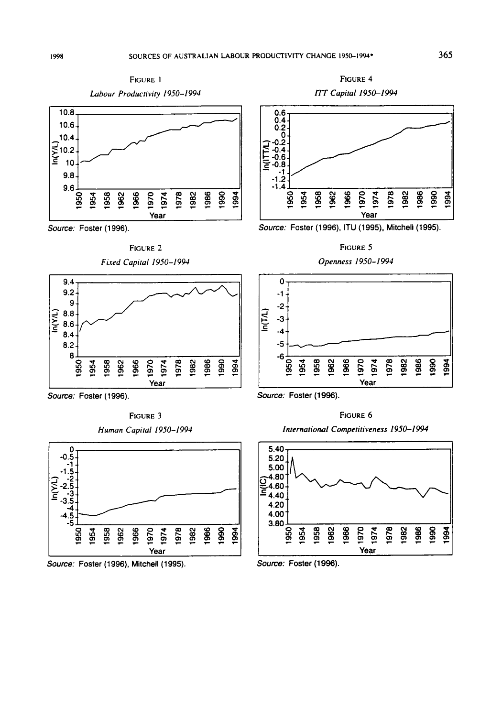



**FIGURE 2**  *Fired Capital* **1950-1 994** 



**Source: Foster (1 996).** 

**FIGURE 3**  *Human Capital* **19SO-1994** 



**Source: Foster (1996), Mitchell (1995). Source: Foster (1 996).** 





**Source: Foster (1 996).** ITU **(1 995), Mitchell (1 995).** 



*Openness* **1950-1994** 



**Source: Foster (1996).** 

**FIGURE 6** *International Competitiveness* **1950-1 994** 



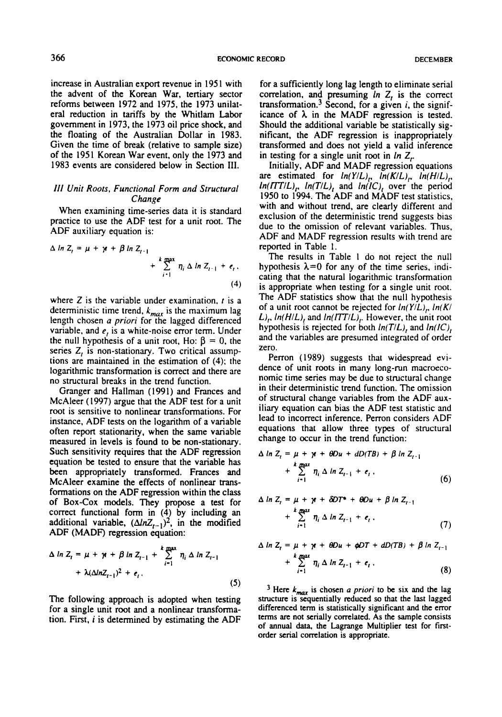**ECONOMIC RECORD DECEMBER**<br> **ECONOMIC RECORD DECEMBER** increase in Australian export revenue in 1951 with the advent of the Korean War, tertiary sector reforms between 1972 and 1975, the 1973 unilateral reduction in tariffs by the Whitlam Labor government in 1973, the 1973 oil price shock, and the floating of the Australian Dollar in 1983. Given the time of break (relative to sample size) of the 1951 Korean War event, only the 1973 and 1983 events are considered below in Section Ill Unit Roots, Functional Form and Structural<br> **ILL EXECORET SECONAL STATE CONTEXAL TEXT**<br> **ILL TEXT ILL TEXT ILL TEXT EXECUTS** (**A** *Roots* on it and *RADF* regression is the stated.<br> **ILL INTERENT ILL INTERENT IN** 

## **Functional Form and Structural Change**

When examining time-series data it is standard practice to use the ADF test for a unit root. The ADF auxiliary equation is:

$$
\Delta \ln Z_{t} = \mu + \gamma t + \beta \ln Z_{t-1} + \sum_{i=1}^{k} \eta_{i} \Delta \ln Z_{t-1} + e_{t},
$$
\n(4)

where Z is the variable under examination, *t* is a deterministic time trend,  $k_{max}$  is the maximum lag length chosen a **prior;** for the lagged differenced variable, and *e*, is a white-noise error term. Under the null hypothesis of a unit root, Ho:  $\beta = 0$ , the series  $Z_t$  is non-stationary. Two critical assumptions are maintained in the estimation of (4); the logarithmic transformation is correct and there are no structural breaks in the trend function.

Granger and Hallman (1991) and Frances and McAIeer (1997) argue that the ADF test for a unit root is sensitive to nonlinear transformations. For instance. ADF tests on the logarithm of a variable often report stationarity, when the same variable measured in levels is found to be non-stationary. Such sensitivity requires that the ADF regression equation be tested to ensure that the variable has Equation be tested to ensure that the ADF rest for a unit interval change variables from the ADF aux-<br>root is sensitive to nonlinear transformations. For illiary equation can bias the ADF test statistic and<br>instance, ADF been appropriately transformed. Frances and McAleer examine the effects of nonlinear transformations on the ADF regression within the class of Box-Cox models. They propose a test for correct functional form in **(4)** by including an additional variable,  $(\Delta ln Z_{t-1})^2$ , in the modified ADF (MADF) regression equation: **<sup>A</sup>in Z,** = **p** + **p** + **pin z,\_~** <sup>+</sup>'r zyxwvutsrqponmlkjihgfedcbaZYXWVUTSRQPONMLKJIHGFEDCBA *q,* **A In** z,-,

$$
\Delta \ln Z_{t} = \mu + \gamma t + \beta \ln Z_{t-1} + \sum_{i=1}^{k} \eta_{i} \Delta \ln Z_{t-1} + \lambda (\Delta \ln Z_{t-1})^{2} + e_{t}.
$$
\n(5)

The following approach is adopted when testing for a single unit root and a nonlinear transformation. First, **i** is determined by estimating the ADF

**111. 111. 11. 11. 11. 11. 11. 11. 11. 11. 11. 11. 11. 11. 11. 11. 11. 11. 11. 11. 11. 11. 11. 11. 11. 11. 11. 11. 11. 11. 11. 11. 11. 11. 11. 11. 11** for a sufficiently long lag length to eliminate serial correlation, and presuming **In** Z, is the correct  $transformation.<sup>3</sup>$  Second, for a given *i*, the significance of  $\lambda$  in the MADF regression is tested. Should the additional variable be statistically significant, the ADF regression is inappropriately transformed and does not yield a valid inference in testing for a single unit root in  $ln Z_r$ .

**All Change**<br>  $\alpha \ln Z_i = \mu + \gamma + \beta \ln Z_{i-1}$ <br>  $\Delta \ln Z_i = \mu + \gamma + \beta \ln Z_{i-1}$ <br>  $\Delta \ln Z_i = \frac{k \tan \lambda}{2} \eta_i \Delta \ln Z_{i-1} + \epsilon_i$ , **a**<br> **ADF** and MADF regression results with trend are<br>  $\Delta \ln Z_i = \mu + \gamma + \beta \ln Z_{i-1}$ <br>  $\Delta \ln Z_i = \frac{k \tan \lambda}{2} \ln Z_{i-1} + \epsilon_i$ , Initially, ADF and MADF regression equations are estimated for  $ln(Y/L)$ <sub>r</sub>,  $ln(K/L)$ <sub>r</sub>,  $ln(H/L)$ <sub>r</sub>,  $ln(TT/L)$ ,  $ln(T/L)$ , and  $ln(IC)$ , over the period 1950 to 1994. The ADF and MADF test statistics, with and without trend, are clearly different and exclusion of the deterministic trend suggests bias due to the omission of relevant variables. Thus, ADF and MADF regression results with trend are reported in Table 1.

The results in Table **1** do not reject the null hypothesis  $\lambda = 0$  for any of the time series, indicating that the natural logarithmic transformation is appropriate when testing for a single unit root. The ADF statistics show that the null hypothesis of a unit root cannot be rejected for **In(Y/LJ,, In(K/**  L)<sub>t</sub>,  $ln(H/L)$ , and  $ln(TT/L)$ . However, the unit root hypothesis is rejected for both **In(TlL),** and **In(lC),**  and the variables are presumed integrated of order zero.

Perron (1989) suggests that widespread evidence of unit roots in many long-run macroeconomic time series may be due to structural change in their deterministic trend function. The omission of structural change variables from the ADF auxiliary equation can bias the ADF test statistic and lead to incorrect inference. Perron considers ADF equations that allow three types of structural change to occur in the trend function:

$$
\Delta \ln Z_t = \mu + \gamma t + \theta Du + dD(TB) + \beta \ln Z_{t-1} + \sum_{i=1}^{k} \eta_i \Delta \ln Z_{t-1} + \epsilon_t,
$$
\n(6)

$$
\Delta \ln Z_{t} = \mu + \gamma t + \delta DT^* + \theta Du + \beta \ln Z_{t-1} + \sum_{i=1}^{k} \eta_i \Delta \ln Z_{t-1} + \epsilon_t, \qquad (7)
$$

<sup>+</sup>*zyxwvutsrqponmlkjihgfedcbaZYXWVUTSRQPONMLKJIHGFEDCBA Vc(bln~,-~Y* + **c,** . **<sup>A</sup>***in* **Z,** = **p** + **p** + **BDu** + **@T** + **dD(TB)** + **In Z,-l**  *t*  + fY **qi A In z~-~** + **ct** , **i- I (8)** 

 $\frac{3}{2}$  Here  $k_{max}$  is chosen *a priori* to be six and the lag **structure is sequentially reduced so that the last lagged differenced term is statistically significant and the error terms are not serially correlated. As the sample consists of annual data, the Lagrange Multiplier test for firstorder serial correlation is appropriate.**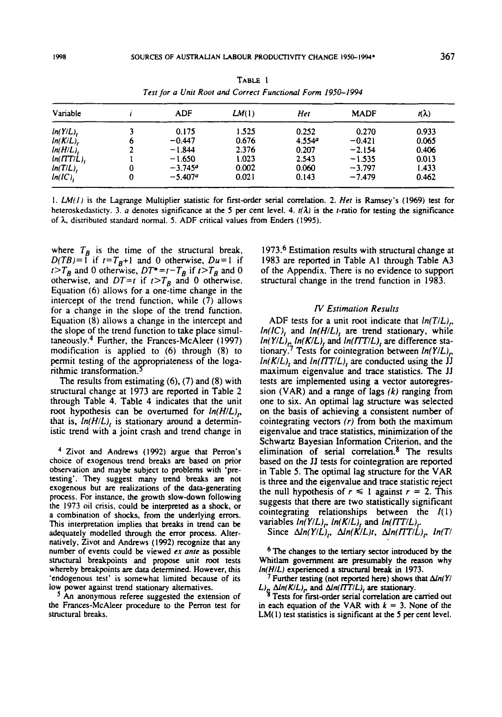| Variable      |   | ADF       | LM(1) | Het                | <b>MADF</b> | $\mathsf{r}(\lambda)$ |
|---------------|---|-----------|-------|--------------------|-------------|-----------------------|
| $ln(Y/L)$ ,   |   | 0.175     | 1.525 | 0.252              | 0.270       | 0.933                 |
| $ln(K/L)$ ,   | 6 | $-0.447$  | 0.676 | 4.554 <sup>a</sup> | $-0.421$    | 0.065                 |
| $ln(H/L)$ ,   |   | $-1.844$  | 2.376 | 0.207              | $-2.154$    | 0.406                 |
| $ln(TTT/L)$ , |   | $-1.650$  | 1.023 | 2.543              | $-1.535$    | 0.013                 |
| $ln(T/L)$ ,   | 0 | $-3.7459$ | 0.002 | 0.060              | $-3.797$    | 1.433                 |
| ln(IC)        | 0 | $-5.407a$ | 0.021 | 0.143              | $-7.479$    | 0.462                 |

TABLE 1 Test for a Unit Root and Correct Functional Form 1950-1994

1.  $LM(1)$  is the Lagrange Multiplier statistic for first-order serial correlation. 2. Het is Ramsey's (1969) test for heteroskedasticty. 3. a denotes significance at the 5 per cent level. 4.  $t(\lambda)$  is the t-ratio for testing the significance of λ, distributed standard normal. 5. ADF critical values from Enders (1995).

where  $T_B$  is the time of the structural break,  $D(TB) = \int_{0}^{T}$  if  $t = T_B + 1$  and 0 otherwise,  $Du = 1$  if<br> $t > T_B$  and 0 otherwise,  $DT^* = t - T_B$  if  $t > T_B$  and 0 otherwise, and  $DT=t$  if  $t>T_B$  and 0 otherwise. Equation (6) allows for a one-time change in the intercept of the trend function, while (7) allows for a change in the slope of the trend function. Equation (8) allows a change in the intercept and the slope of the trend function to take place simultaneously.<sup>4</sup> Further, the Frances-McAleer (1997) modification is applied to  $(6)$  through  $(8)$  to permit testing of the appropriateness of the logarithmic transformation.

The results from estimating  $(6)$ ,  $(7)$  and  $(8)$  with structural change at 1973 are reported in Table 2 through Table 4. Table 4 indicates that the unit root hypothesis can be overtumed for  $ln(H/L)$ , that is,  $ln(H/L)$ , is stationary around a deterministic trend with a joint crash and trend change in

<sup>4</sup> Zivot and Andrews (1992) argue that Perron's choice of exogenous trend breaks are based on prior observation and maybe subject to problems with 'pretesting'. They suggest many trend breaks are not exogenous but are realizations of the data-generating process. For instance, the growth slow-down following the 1973 oil crisis, could be interpreted as a shock, or a combination of shocks, from the underlying errors. This interpretation implies that breaks in trend can be adequately modelled through the error process. Alternatively, Zivot and Andrews (1992) recognize that any number of events could be viewed ex ante as possible structural breakpoints and propose unit root tests whereby breakpoints are data determined. However, this 'endogenous test' is somewhat limited because of its low power against trend stationary alternatives.

An anonymous referee suggested the extension of the Frances-McAleer procedure to the Perron test for structural breaks.

1973.6 Estimation results with structural change at 1983 are reported in Table A1 through Table A3 of the Appendix. There is no evidence to support structural change in the trend function in 1983.

#### **IV Estimation Results**

ADF tests for a unit root indicate that  $ln(T/L)$ ,  $ln(IC)$ , and  $ln(H/L)$ , are trend stationary, while  $ln(Y/L)_{r} ln(K/L)$ , and  $ln(TTT/L)$ , are difference stationary.<sup>7</sup> Tests for cointegration between  $ln(Y/L)$ <sub>r</sub>.  $ln(K/L)$ , and  $ln(TTT/L)$ , are conducted using the JJ maximum eigenvalue and trace statistics. The JJ tests are implemented using a vector autoregression (VAR) and a range of lags  $(k)$  ranging from one to six. An optimal lag structure was selected on the basis of achieving a consistent number of cointegrating vectors  $(r)$  from both the maximum eigenvalue and trace statistics, minimization of the Schwartz Bayesian Information Criterion, and the elimination of serial correlation.<sup>8</sup> The results based on the JJ tests for cointegration are reported in Table 5. The optimal lag structure for the VAR is three and the eigenvalue and trace statistic reject the null hypothesis of  $r \le 1$  against  $r = 2$ . This suggests that there are two statistically significant cointegrating relationships between the  $I(1)$ variables  $ln(Y/L)$ ,  $ln(K/L)$ , and  $ln(TTT/L)$ ,

Since  $\Delta ln(Y/L)_P$ ,  $\Delta ln(K/L)t$ ,  $\Delta ln(TTT/L)_P$ ,  $ln(T/T)$ 

<sup>6</sup> The changes to the tertiary sector introduced by the Whitlam government are presumably the reason why In(H/L) experienced a structural break in 1973.

<sup>7</sup> Further testing (not reported here) shows that  $\Delta ln(Y/$  $L_{\rm B}$   $\Delta ln(K/L)$ , and  $\Delta ln(TT/L)$ , are stationary.<br><sup>8</sup> Tests for first-order serial correlation are carried out

in each equation of the VAR with  $k = 3$ . None of the  $LM(1)$  test statistics is significant at the 5 per cent level.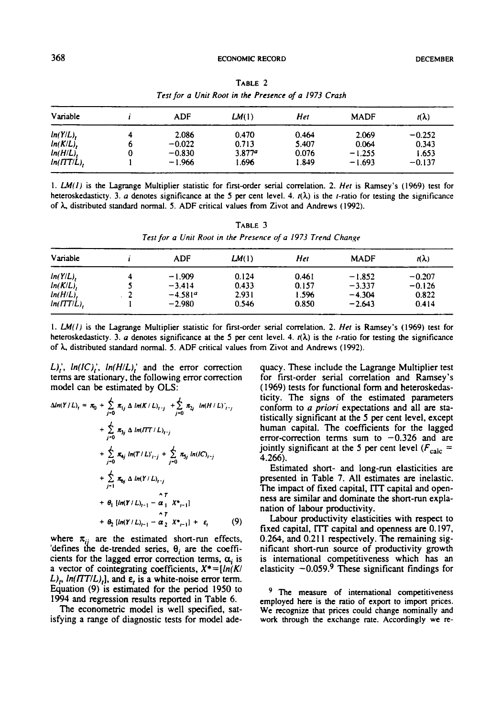|                                                   |        | <b>ECONOMIC RECORD</b>                     |                                                      | <b>DECEMBER</b>                         |  |
|---------------------------------------------------|--------|--------------------------------------------|------------------------------------------------------|-----------------------------------------|--|
| 68                                                |        | TABLE 2                                    | Test for a Unit Root in the Presence of a 1973 Crash |                                         |  |
| Variable                                          |        | LM(1)                                      |                                                      |                                         |  |
| $ln(Y/L)$ ,<br>ln(K/L),<br>In(H/L).<br>ln(ITT/L), | -0.0ZZ | በ 470<br>u. <i>1</i> 1 3<br>$\overline{1}$ | 0.46 <sup>4</sup><br>5.407<br>v.v / u                | $-0.252$<br>U. 34<br>בכס. ו<br>$-0.137$ |  |

**TABLE**  Test for a Unit Root in the Presence of a 1973 Crash

**1.** LM(1) is the Lagmge Multiplier statistic for first-order serial correlation. **2.** *Her* is Ramsey's **(1969)** test for heteroskedasticty. 3. *a* denotes significance at the 5 per cent level. 4.  $r(\lambda)$  is the *t*-ratio for testing the significance of *h* distributed standard normal. **5.** ADF critical values from Zivot and Andrews **(1992).** 

**TABLE** *3 Test* **for** *a Unit Root in the Presence* of *a 1973 Trend Chonge* 

| Variable      |   | ADF       | LM(1) | Het   | <b>MADF</b> | $r(\lambda)$ |
|---------------|---|-----------|-------|-------|-------------|--------------|
| ln(Y/L)       | 4 | $-1.909$  | 0.124 | 0.461 | $-1.852$    | $-0.207$     |
| $ln(K/L)$ ,   |   | $-3.414$  | 0.433 | 0.157 | $-3.337$    | $-0.126$     |
| $ln(H/L)$ ,   |   | $-4.581a$ | 2.931 | 1.596 | $-4.304$    | 0.822        |
| $ln(TTT/L)$ , |   | $-2.980$  | 0.546 | 0.850 | $-2.643$    | 0.414        |

I. LM(IJ is the Lagrange Multiplier statistic for first-order serial correlation. **2.** *Her* is Ramsey's **(1969)** test for heteroskedasticty. 3. *a* denotes significance at the 5 per cent level. 4.  $t(\lambda)$  is the *t*-ratio for testing the significance of *h* distributed standard normal. **5.** ADF critical values from Zivot and Andrews **(1992).** 

 $L_i'$ ,  $ln(IC_i'$ ,  $ln(H/L_i'$  and the error correction terms **are** stationary. the following error correction model can be estimated by OLS:

$$
\Delta ln(Y/L)_t = \pi_0 + \sum_{j=0}^{L} \pi_{1j} \Delta ln(K/L)_{t-j} + \sum_{j=0}^{L} \pi_{2j} ln(H/L)_{t-j}
$$
  
+ 
$$
\sum_{j=0}^{L} \pi_{3j} \Delta ln(TT/L)_{t-j}
$$
  
+ 
$$
\sum_{j=0}^{L} \pi_{4j} ln(T/L)_{t-j} + \sum_{j=0}^{L} \pi_{5j} ln(IC)_{t-j}
$$
  
+ 
$$
\sum_{j=1}^{L} \pi_{6j} \Delta ln(Y/L)_{t-j}
$$
  
+ 
$$
\theta_1 [ln(Y/L)_{t-1} - \alpha_1 X^*_{t-1}]
$$
  
+ 
$$
\theta_2 [ln(Y/L)_{t-1} - \alpha_2 X^*_{t-1}] + \epsilon_t
$$
(9)

where  $\pi_{ii}$  are the estimated short-run effects, 'defines the de-trended series,  $\theta_i$  are the coefficients for the lagged error correction terms,  $\alpha_i$  is a vector of cointegrating coefficients,  $X^* = [ln(K)]$  $L$ <sub>*p, ln*(*ITT/L*)<sub>t</sub>], and  $\varepsilon$ <sub>t</sub> is a white-noise error term.</sub> Equation (9) is estimated for the period 1950 to 1994 and regression results reported in Table 6.

The econometric model is well specified, satisfying a range of diagnostic tests for model adequacy. These include the Lagrange Multiplier test for first-order serial correlation and Ramsey's (1969) tests for functional form and heteroskedasticity. The signs of the estimated parameters conform to (I *priori* expectations and all **are** statistically significant at the **5** per cent level, except human capital. The coefficients for the lagged error-correction terms sum to  $-0.326$  and are jointly significant at the 5 per cent level  $(F_{calc} =$ 4.266).

Estimated short- and long-run elasticities are presented in Table 7. All estimates **are** inelastic. tistically significant at the 5 per cent level, except<br>human capital. The coefficients for the lagged<br>error-correction terms sum to  $-0.326$  and are<br>jointly significant at the 5 per cent level ( $F_{\text{calc}}$  =<br>4.266).<br>Estimat ness are similar and dominate the short-run explanation of labour productivity.

**Labour** productivity elasticities with respect to fixed capital, I'IT capital and openness **arc** 0.197. 0.264, and **0.21** 1 respectively. The remaining significant short-run source of productivity growth is international competitiveness which has **an**  elasticity  $-0.059$ .<sup>9</sup> These significant findings for

<sup>9</sup> The measure of international competitiveness employed here is the ratio of **export** to import prices. We recognize that prices could change nominally and **work** through the exchange rate. Accordingly we re-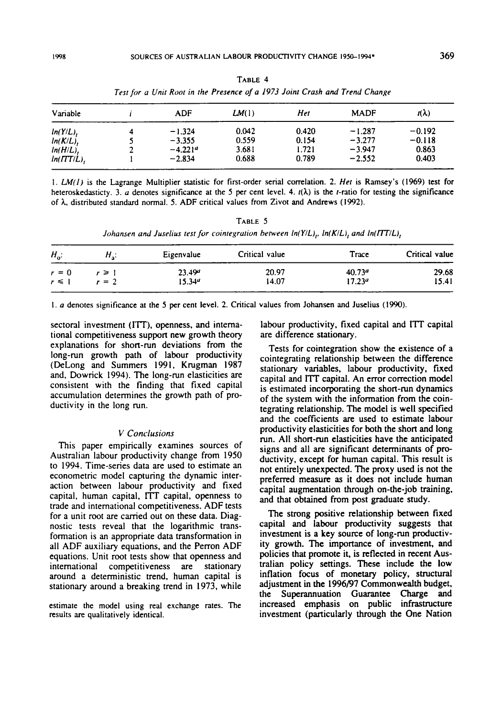|               | Test for a Unit Root in the Fresence of a 1775 John Crash and Trend Change |       |       |             |          |
|---------------|----------------------------------------------------------------------------|-------|-------|-------------|----------|
| Variable      | ADF                                                                        | LM(1) | Het   | <b>MADF</b> | n()      |
| $ln(Y/L)$ ,   | $-1.324$                                                                   | 0.042 | 0.420 | $-1.287$    | $-0.192$ |
| $ln(K/L)$ ,   | $-3.355$                                                                   | 0.559 | 0.154 | $-3.277$    | $-0.118$ |
| $ln(H/L)$ ,   | $-4.221a$                                                                  | 3.681 | 1.721 | $-3.947$    | 0.863    |
| $ln(TTT/L)$ . | $-2.834$                                                                   | 0.688 | 0.789 | $-2.552$    | 0.403    |

TABLE 4 Test for a Unit Root in the Presence of a 1973 Joint Crash and Trend Change

1.  $LM(1)$  is the Lagrange Multiplier statistic for first-order serial correlation. 2. Het is Ramsey's (1969) test for heteroskedasticty. 3. a denotes significance at the 5 per cent level. 4.  $t(\lambda)$  is the t-ratio for testing the significance of  $\lambda$ , distributed standard normal. 5. ADF critical values from Zivot and Andrews (1992).

TABLE 5 Johansen and Juselius test for cointegration between  $ln(Y/L)$ ,  $ln(K/L)$ , and  $ln(TTT/L)$ ,

| $H_{\rm a}$ : | Eigenvalue         | Critical value | Trace              | Critical value |
|---------------|--------------------|----------------|--------------------|----------------|
| r ≥ 1         | 23.49 <sup>a</sup> | 20.97          | 40.73 <sup>a</sup> | 29.68          |
| $r = 2$       | $15.34^{\circ}$    | 14.07          | 17.23 <sup>a</sup> | 15.41          |
|               |                    |                |                    |                |

1. a denotes significance at the 5 per cent level. 2. Critical values from Johansen and Juselius (1990).

sectoral investment (ITT), openness, and international competitiveness support new growth theory explanations for short-run deviations from the long-run growth path of labour productivity (DeLong and Summers 1991, Krugman 1987) and, Dowrick 1994). The long-run elasticities are consistent with the finding that fixed capital accumulation determines the growth path of productivity in the long run.

## V Conclusions

This paper empirically examines sources of Australian labour productivity change from 1950 to 1994. Time-series data are used to estimate an econometric model capturing the dynamic interaction between labour productivity and fixed capital, human capital, ITT capital, openness to trade and international competitiveness. ADF tests for a unit root are carried out on these data. Diagnostic tests reveal that the logarithmic transformation is an appropriate data transformation in all ADF auxiliary equations, and the Perron ADF equations. Unit root tests show that openness and international competitiveness are stationary around a deterministic trend, human capital is stationary around a breaking trend in 1973, while

estimate the model using real exchange rates. The results are qualitatively identical.

labour productivity, fixed capital and ITT capital are difference stationary.

Tests for cointegration show the existence of a cointegrating relationship between the difference stationary variables, labour productivity, fixed capital and ITT capital. An error correction model is estimated incorporating the short-run dynamics of the system with the information from the cointegrating relationship. The model is well specified and the coefficients are used to estimate labour productivity elasticities for both the short and long run. All short-run elasticities have the anticipated signs and all are significant determinants of productivity, except for human capital. This result is not entirely unexpected. The proxy used is not the preferred measure as it does not include human capital augmentation through on-the-job training, and that obtained from post graduate study.

The strong positive relationship between fixed capital and labour productivity suggests that investment is a key source of long-run productivity growth. The importance of investment, and policies that promote it, is reflected in recent Australian policy settings. These include the low inflation focus of monetary policy, structural adjustment in the 1996/97 Commonwealth budget, the Superannuation Guarantee Charge and increased emphasis on public infrastructure investment (particularly through the One Nation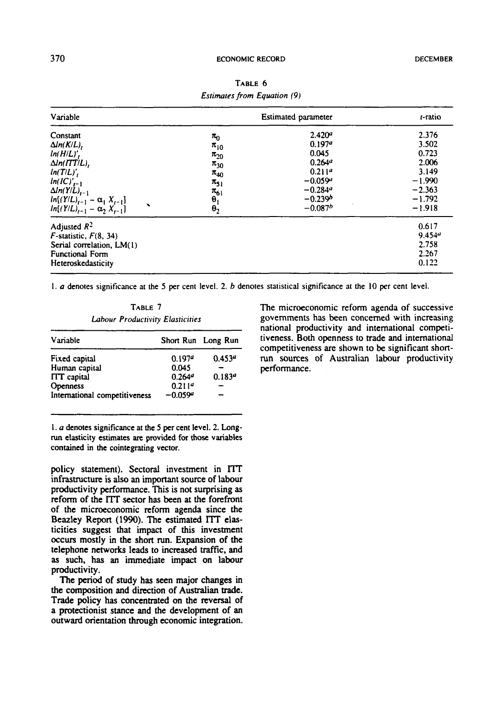#### **ECONOMIC RECORD**

| Variable                                                                                                                                                                                                                | Estimated parameter                                                                                                          | t-ratio                                                                                                                                                       |                                                                                           |
|-------------------------------------------------------------------------------------------------------------------------------------------------------------------------------------------------------------------------|------------------------------------------------------------------------------------------------------------------------------|---------------------------------------------------------------------------------------------------------------------------------------------------------------|-------------------------------------------------------------------------------------------|
| Constant<br>$\Delta ln(K/L)$ ,<br>$ln(H/L)'$ ,<br>$\Delta ln(TTT/L)$ ,<br>$ln(T/L)$ ,<br>$ln(IC)'_{t-1}$<br>$\Delta ln(Y/L)_{t-1}$<br>$ln[(Y/L)_{t-1} - \alpha_1 X_{t-1}]$<br>◥<br>$ln[(Y/L)_{t-1} - \alpha_2 X_{t-1}]$ | $\pi_{0}$<br>$\pi_{10}$<br>$\pi_{20}$<br>$\pi_{30}$<br>$\pi_{40}$<br>$\pi_{51}$<br>$\pi_{61}$<br>$\frac{\theta_1}{\theta_2}$ | 2.420 <sup>a</sup><br>0.197 <sup>a</sup><br>0.045<br>0.264 <sup>a</sup><br>0.211 <sup>a</sup><br>$-0.059a$<br>$-0.284$ <sup>a</sup><br>$-0.239b$<br>$-0.087b$ | 2.376<br>3.502<br>0.723<br>2.006<br>3.149<br>$-1.990$<br>$-2.363$<br>$-1.792$<br>$-1.918$ |
| Adjusted $R^2$<br>$F$ -statistic, $F(8, 34)$<br>Serial correlation, LM(1)<br>Functional Form<br>Heteroskedasticity                                                                                                      |                                                                                                                              |                                                                                                                                                               | 0.617<br>9.454 <sup>a</sup><br>2.758<br>2.267<br>0.122                                    |

TABLE 6 **Estimates from Equation (9)** 

1.  $a$  denotes significance at the 5 per cent level. 2.  $b$  denotes statistical significance at the 10 per cent level.

TABLE 7 **Labour Productivity Elasticities** 

| Variable                      |                    | Short Run Long Run |
|-------------------------------|--------------------|--------------------|
| Fixed capital                 | 0.197 <sup>a</sup> | 0.453 <sup>a</sup> |
| Human capital                 | 0.045              |                    |
| <b>ITT</b> capital            | 0.264 <sup>a</sup> | 0.183 <sup>a</sup> |
| Openness                      | 0.211 <sup>a</sup> |                    |
| International competitiveness | $-0.059a$          |                    |

1. a denotes significance at the 5 per cent level. 2. Longrun elasticity estimates are provided for those variables contained in the cointegrating vector.

policy statement). Sectoral investment in ITT infrastructure is also an important source of labour productivity performance. This is not surprising as reform of the ITT sector has been at the forefront of the microeconomic reform agenda since the Beazley Report (1990). The estimated ITT elasticities suggest that impact of this investment occurs mostly in the short run. Expansion of the telephone networks leads to increased traffic, and as such, has an immediate impact on labour productivity.

The period of study has seen major changes in the composition and direction of Australian trade. Trade policy has concentrated on the reversal of a protectionist stance and the development of an outward orientation through economic integration. The microeconomic reform agenda of successive governments has been concerned with increasing national productivity and international competitiveness. Both openness to trade and international competitiveness are shown to be significant shortrun sources of Australian labour productivity performance.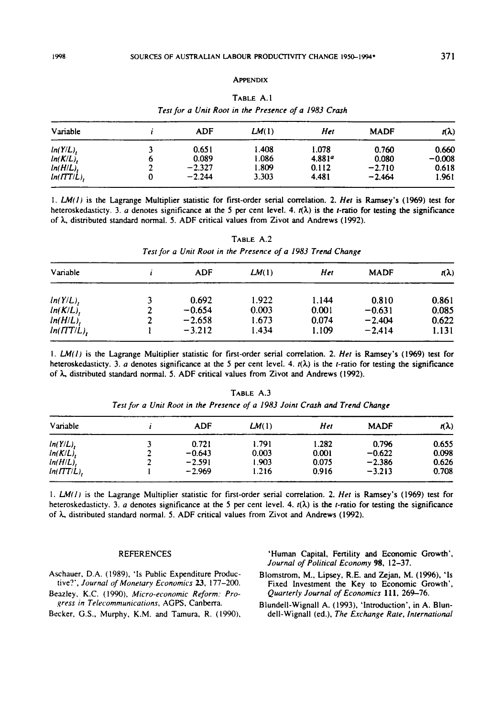#### **APPENDIX**

| Variable      |   | ADF      | LM(1) | Het                | <b>MADF</b> | $r(\lambda)$ |
|---------------|---|----------|-------|--------------------|-------------|--------------|
| ln(Y/L)       |   | 0.651    | 1.408 | 1.078              | 0.760       | 0.660        |
| ln(K/L)       | o | 0.089    | 1.086 | 4.881 <sup>a</sup> | 0.080       | $-0.008$     |
| ln(H/L)       |   | $-2.327$ | 1.809 | 0.112              | $-2.710$    | 0.618        |
| $ln(TTT/L)$ , |   | $-2.244$ | 3.303 | 4.481              | $-2.464$    | 1.961        |

TABLE A.1 Test for a Unit Root in the Presence of a 1983 Crash

1.  $LM(I)$  is the Lagrange Multiplier statistic for first-order serial correlation. 2. Het is Ramsey's (1969) test for heteroskedasticty. 3. a denotes significance at the 5 per cent level. 4.  $r(\lambda)$  is the *t*-ratio for testing the significance of  $\lambda$ , distributed standard normal. 5. ADF critical values from Zivot and Andrews (1992).

TABLE A.2 Test for a Unit Root in the Presence of a 1983 Trend Change

| Variable      | ADF      | LM(1) | Het   | <b>MADF</b> | πλ)   |
|---------------|----------|-------|-------|-------------|-------|
| $ln(Y/L)$ ,   | 0.692    | 1.922 | 1.144 | 0.810       | 0.861 |
| $ln(K/L)$ ,   | $-0.654$ | 0.003 | 0.001 | $-0.631$    | 0.085 |
| $ln(H/L)$ ,   | $-2.658$ | 1.673 | 0.074 | $-2.404$    | 0.622 |
| $ln(TTT/L)$ , | $-3.212$ | 1.434 | 1.109 | $-2.414$    | 1.131 |

1. LM(1) is the Lagrange Multiplier statistic for first-order serial correlation. 2. Het is Ramsey's (1969) test for heteroskedasticty. 3. a denotes significance at the 5 per cent level. 4.  $t(\lambda)$  is the *t*-ratio for testing the significance of  $\lambda$ , distributed standard normal. 5. ADF critical values from Zivot and Andrews (1992).

| Variable      | ADF      | LM(1) | Het   | <b>MADF</b> | nλ)   |
|---------------|----------|-------|-------|-------------|-------|
| ln(Y/L)       | 0.721    | 1.791 | 1.282 | 0.796       | 0.655 |
| ln(K/L)       | $-0.643$ | 0.003 | 0.001 | $-0.622$    | 0.098 |
| $ln(H/L)$ ,   | $-2.591$ | 1.903 | 0.075 | $-2.386$    | 0.626 |
| $ln(TTT/L)$ , | $-2.969$ | 1.216 | 0.916 | $-3.213$    | 0.708 |

TABLE A.3 Test for a Unit Root in the Presence of a 1983 Joint Crash and Trend Change

1. LM(1) is the Lagrange Multiplier statistic for first-order serial correlation. 2. Het is Ramsey's (1969) test for heteroskedasticty. 3. a denotes significance at the 5 per cent level. 4.  $t(\lambda)$  is the *t*-ratio for testing the significance of  $\lambda$ , distributed standard normal. 5. ADF critical values from Zivot and Andrews (1992).

#### **REFERENCES**

- Aschauer, D.A. (1989), 'Is Public Expenditure Productive?', Journal of Monetary Economics 23, 177-200.
- Beazley, K.C. (1990), Micro-economic Reform: Progress in Telecommunications, AGPS, Canberra.
- Becker, G.S., Murphy, K.M. and Tamura, R. (1990),

'Human Capital, Fertility and Economic Growth', Journal of Political Economy 98, 12-37.

- Blomstrom, M., Lipsey, R.E. and Zejan, M. (1996), 'Is Fixed Investment the Key to Economic Growth', Quarterly Journal of Economics 111, 269-76.
- Blundell-Wignall A. (1993), 'Introduction', in A. Blundell-Wignall (ed.), The Exchange Rate, International